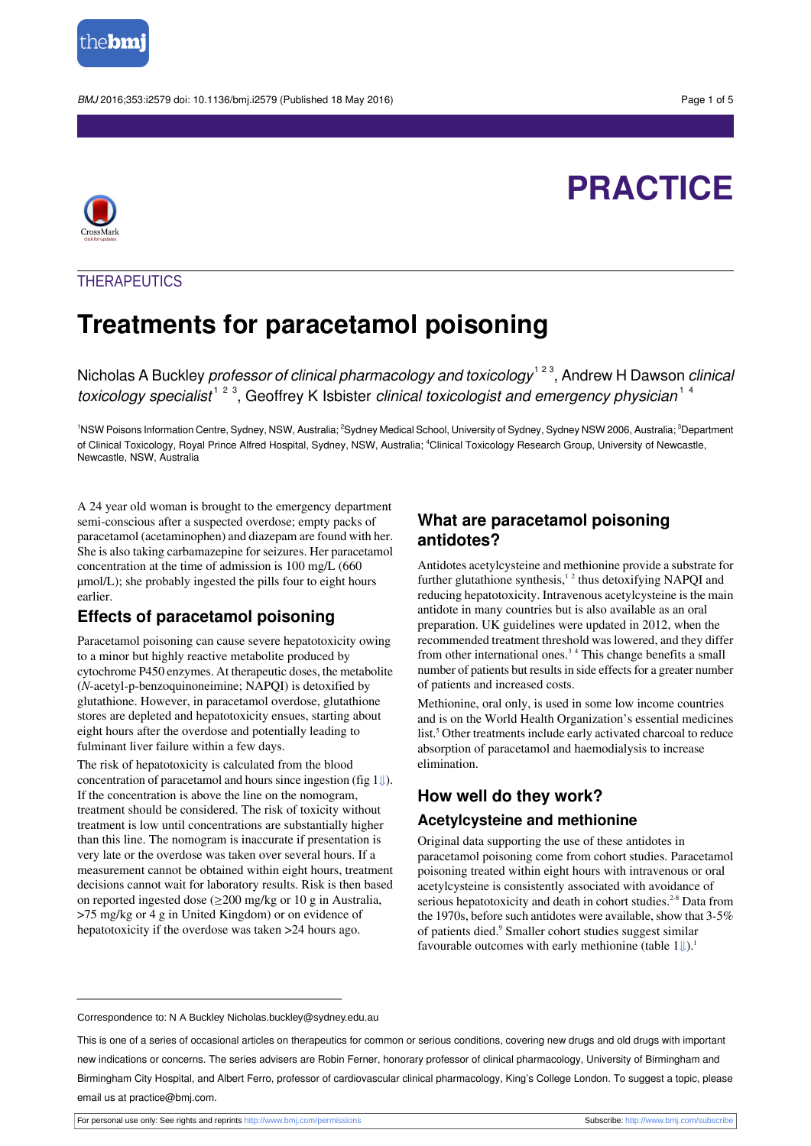

BMJ 2016;353:i2579 doi: 10.1136/bmj.i2579 (Published 18 May 2016) Page 1 of 5

# **PRACTICE**



## **THERAPEUTICS**

# **Treatments for paracetamol poisoning**

Nicholas A Buckley *professor of clinical pharmacology and toxicology*  $^{1\,2\,3}$ , Andrew H Dawson *clinical* toxicology specialist<sup>123</sup>, Geoffrey K Isbister clinical toxicologist and emergency physician<sup>14</sup>

1NSW Poisons Information Centre, Sydney, NSW, Australia; <sup>2</sup>Sydney Medical School, University of Sydney, Sydney NSW 2006, Australia; <sup>3</sup>Department of Clinical Toxicology, Royal Prince Alfred Hospital, Sydney, NSW, Australia; <sup>4</sup>Clinical Toxicology Research Group, University of Newcastle, Newcastle, NSW, Australia

A 24 year old woman is brought to the emergency department semi-conscious after a suspected overdose; empty packs of paracetamol (acetaminophen) and diazepam are found with her. She is also taking carbamazepine for seizures. Her paracetamol concentration at the time of admission is 100 mg/L (660 µmol/L); she probably ingested the pills four to eight hours earlier.

## **Effects of paracetamol poisoning**

Paracetamol poisoning can cause severe hepatotoxicity owing to a minor but highly reactive metabolite produced by cytochrome P450 enzymes. At therapeutic doses, the metabolite (*N*-acetyl-p-benzoquinoneimine; NAPQI) is detoxified by glutathione. However, in paracetamol overdose, glutathione stores are depleted and hepatotoxicity ensues, starting about eight hours after the overdose and potentially leading to fulminant liver failure within a few days.

The risk of hepatotoxicity is calculated from the blood concentration of paracetamol and hours since ingestion (fig  $1 \downarrow$ ). If the concentration is above the line on the nomogram, treatment should be considered. The risk of toxicity without treatment is low until concentrations are substantially higher than this line. The nomogram is inaccurate if presentation is very late or the overdose was taken over several hours. If a measurement cannot be obtained within eight hours, treatment decisions cannot wait for laboratory results. Risk is then based on reported ingested dose (≥200 mg/kg or 10 g in Australia, >75 mg/kg or 4 g in United Kingdom) or on evidence of hepatotoxicity if the overdose was taken >24 hours ago.

## **What are paracetamol poisoning antidotes?**

Antidotes acetylcysteine and methionine provide a substrate for further glutathione synthesis,<sup>12</sup> thus detoxifying NAPQI and reducing hepatotoxicity. Intravenous acetylcysteine is the main antidote in many countries but is also available as an oral preparation. UK guidelines were updated in 2012, when the recommended treatment threshold was lowered, and they differ from other international ones.<sup>34</sup> This change benefits a small number of patients but results in side effects for a greater number of patients and increased costs.

Methionine, oral only, is used in some low income countries and is on the World Health Organization's essential medicines list.<sup>5</sup> Other treatments include early activated charcoal to reduce absorption of paracetamol and haemodialysis to increase elimination.

## **How well do they work?**

#### **Acetylcysteine and methionine**

Original data supporting the use of these antidotes in paracetamol poisoning come from cohort studies. Paracetamol poisoning treated within eight hours with intravenous or oral acetylcysteine is consistently associated with avoidance of serious hepatotoxicity and death in cohort studies.<sup>2-8</sup> Data from the 1970s, before such antidotes were available, show that  $3-5%$ of patients died.<sup>9</sup> Smaller cohort studies suggest similar favourable outcomes with early methionine (table  $1 \downarrow$ ).<sup>1</sup>

Correspondence to: N A Buckley Nicholas.buckley@sydney.edu.au

This is one of a series of occasional articles on therapeutics for common or serious conditions, covering new drugs and old drugs with important new indications or concerns. The series advisers are Robin Ferner, honorary professor of clinical pharmacology, University of Birmingham and Birmingham City Hospital, and Albert Ferro, professor of cardiovascular clinical pharmacology, King's College London. To suggest a topic, please email us at practice@bmj.com.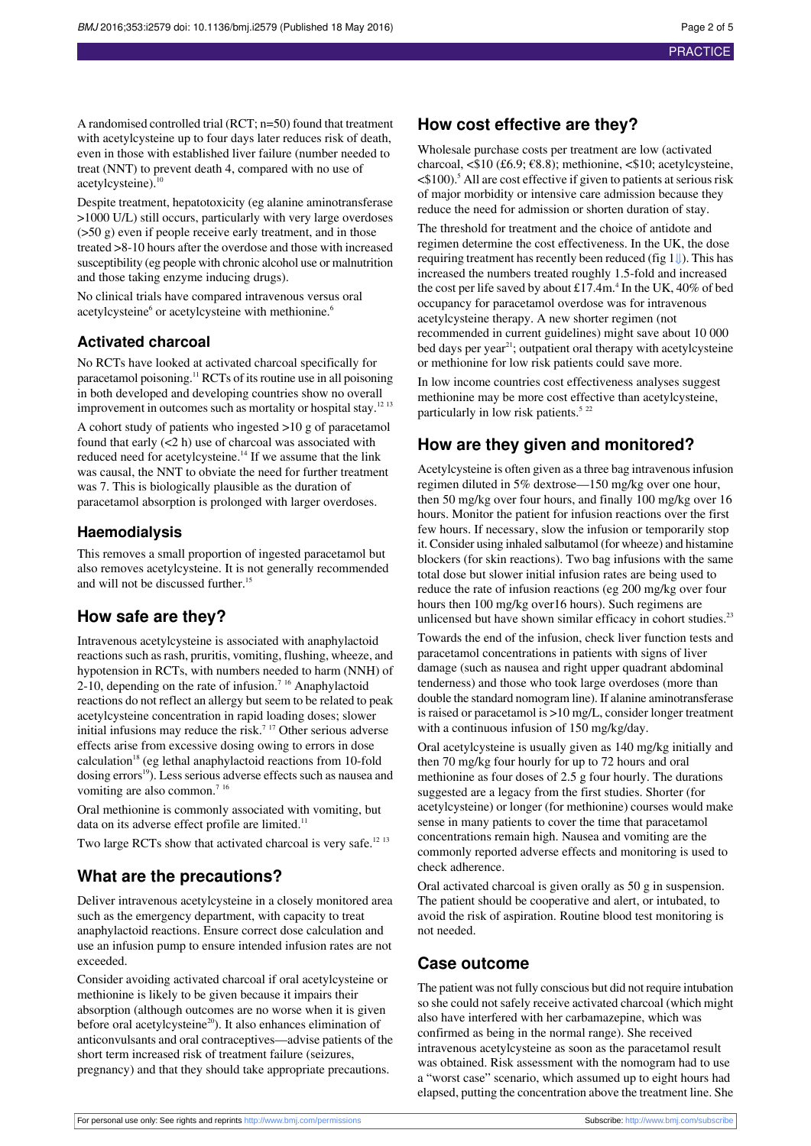A randomised controlled trial (RCT; n=50) found that treatment with acetylcysteine up to four days later reduces risk of death, even in those with established liver failure (number needed to treat (NNT) to prevent death 4, compared with no use of acetylcysteine).<sup>10</sup>

Despite treatment, hepatotoxicity (eg alanine aminotransferase >1000 U/L) still occurs, particularly with very large overdoses (>50 g) even if people receive early treatment, and in those treated >8-10 hours after the overdose and those with increased susceptibility (eg people with chronic alcohol use or malnutrition and those taking enzyme inducing drugs).

No clinical trials have compared intravenous versus oral acetylcysteine<sup>6</sup> or acetylcysteine with methionine.<sup>6</sup>

#### **Activated charcoal**

No RCTs have looked at activated charcoal specifically for paracetamol poisoning.<sup>11</sup> RCTs of its routine use in all poisoning in both developed and developing countries show no overall improvement in outcomes such as mortality or hospital stay.<sup>12 13</sup>

A cohort study of patients who ingested >10 g of paracetamol found that early  $(< 2 h$ ) use of the charcoal was associated withreduced need for acetylcysteine.<sup>14</sup> If we assume that the link was causal, the NNT to obviate the need for further treatment was 7. This is biologically plausible as the duration of paracetamol absorption is prolonged with larger overdoses.

#### **Haemodialysis**

This removes a small proportion of ingested paracetamol but also removes acetylcysteine. It is not generally recommended and will not be discussed further.<sup>15</sup>

## **How safe are they?**

Intravenous acetylcysteine is associated with anaphylactoid reactions such as rash, pruritis, vomiting, flushing, wheeze, and hypotension in RCTs, with numbers needed to harm (NNH) of  $2-10$ , depending on the rate of infusion.<sup>7 16</sup> Anaphylactoid reactions do not reflect an allergy but seem to be related to peak acetylcysteine concentration in rapid loading doses; slower initial infusions may reduce the risk.<sup>7 17</sup> Other serious adverse effects arise from excessive dosing owing to errors in dose calculation<sup>18</sup> (eg lethal anaphylactoid reactions from 10-fold dosing errors<sup>19</sup>). Less serious adverse effects such as nausea and vomiting are also common.<sup>7 16</sup>

Oral methionine is commonly associated with vomiting, but data on its adverse effect profile are limited.<sup>11</sup>

Two large RCTs show that activated charcoal is very safe.<sup>12 13</sup>

## **What are the precautions?**

Deliver intravenous acetylcysteine in a closely monitored area such as the emergency department, with capacity to treat anaphylactoid reactions. Ensure correct dose calculation and use an infusion pump to ensure intended infusion rates are not exceeded.

Consider avoiding activated charcoal if oral acetylcysteine or methionine is likely to be given because it impairs their absorption (although outcomes are no worse when it is given before oral acetylcysteine<sup>20</sup>). It also enhances elimination of anticonvulsants and oral contraceptives—advise patients of the short term increased risk of treatment failure (seizures, pregnancy) and that they should take appropriate precautions.

## **How cost effective are they?**

Wholesale purchase costs per treatment are low (activated charcoal,  $\leq$ \$10 (£6.9;  $\in$ 8.8); methionine,  $\leq$ \$10; acetylcysteine,  $\leq$ \$100).<sup>5</sup> All are cost effective if given to patients at serious risk of major morbidity or intensive care admission because they reduce the need for admission or shorten duration of stay.

The threshold for treatment and the choice of antidote and regimen determine the cost effectiveness. In the UK, the dose requiring treatment has recently been reduced (fig  $1$ U). This has increased the numbers treated roughly 1.5-fold and increased the cost per life saved by about  $\pounds17.4m$ .<sup>4</sup> In the UK, 40% of bed occupancy for paracetamol overdose was for intravenous acetylcysteine therapy. A new shorter regimen (not recommended in current guidelines) might save about 10 000 bed days per year<sup>21</sup>; outpatient oral therapy with acetylcysteine or methionine for low risk patients could save more.

In low income countries cost effectiveness analyses suggest methionine may be more cost effective than acetylcysteine, particularly in low risk patients.<sup>5 22</sup>

## **How are they given and monitored?**

Acetylcysteine is often given as a three bag intravenous infusion regimen diluted in 5% dextrose—150 mg/kg over one hour, then 50 mg/kg over four hours, and finally 100 mg/kg over 16 hours. Monitor the patient for infusion reactions over the first few hours. If necessary, slow the infusion or temporarily stop it. Consider using inhaled salbutamol (for wheeze) and histamine blockers (for skin reactions). Two bag infusions with the same total dose but slower initial infusion rates are being used to reduce the rate of infusion reactions (eg 200 mg/kg over four hours then 100 mg/kg over16 hours). Such regimens are unlicensed but have shown similar efficacy in cohort studies. $2<sup>3</sup>$ 

Towards the end of the infusion, check liver function tests and paracetamol concentrations in patients with signs of liver damage (such as nausea and right upper quadrant abdominal tenderness) and those who took large overdoses (more than double the standard nomogram line). If alanine aminotransferase is raised or paracetamol is >10 mg/L, consider longer treatment with a continuous infusion of 150 mg/kg/day.

Oral acetylcysteine is usually given as 140 mg/kg initially and then 70 mg/kg four hourly for up to 72 hours and oral methionine as four doses of 2.5 g four hourly. The durations suggested are a legacy from the first studies. Shorter (for acetylcysteine) or longer (for methionine) courses would make sense in many patients to cover the time that paracetamol concentrations remain high. Nausea and vomiting are the commonly reported adverse effects and monitoring is used to check adherence.

Oral activated charcoal is given orally as 50 g in suspension. The patient should be cooperative and alert, or intubated, to avoid the risk of aspiration. Routine blood test monitoring is not needed.

## **Case outcome**

The patient was not fully conscious but did not require intubation so she could not safely receive activated charcoal (which might also have interfered with her carbamazepine, which was confirmed as being in the normal range). She received intravenous acetylcysteine as soon as the paracetamol result was obtained. Risk assessment with the nomogram had to use a "worst case" scenario, which assumed up to eight hours had elapsed, putting the concentration above the treatment line. She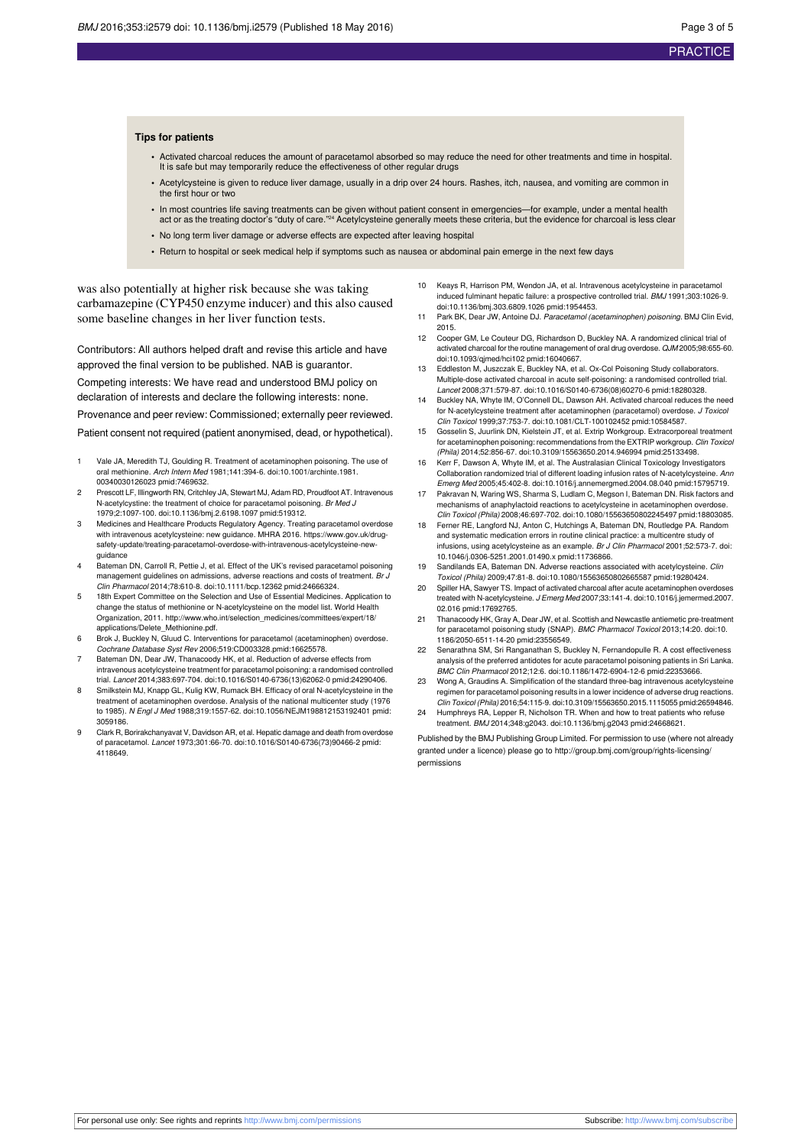#### **Tips for patients**

- **•** Activated charcoal reduces the amount of paracetamol absorbed so may reduce the need for other treatments and time in hospital. It is safe but may temporarily reduce the effectiveness of other regular drugs
- **•** Acetylcysteine is given to reduce liver damage, usually in a drip over 24 hours. Rashes, itch, nausea, and vomiting are common in the first hour or two
- **•** In most countries life saving treatments can be given without patient consent in emergencies—for example, under a mental health act or as the treating doctor's "duty of care."<sup>24</sup> Acetylcysteine generally meets these criteria, but the evidence for charcoal is less clear
- **•** No long term liver damage or adverse effects are expected after leaving hospital
- **•** Return to hospital or seek medical help if symptoms such as nausea or abdominal pain emerge in the next few days

was also potentially at higher risk because she was taking carbamazepine (CYP450 enzyme inducer) and this also caused some baseline changes in her liver function tests.

Contributors: All authors helped draft and revise this article and have approved the final version to be published. NAB is guarantor. Competing interests: We have read and understood BMJ policy on declaration of interests and declare the following interests: none. Provenance and peer review: Commissioned; externally peer reviewed.

Patient consent not required (patient anonymised, dead, or hypothetical).

- Vale JA, Meredith TJ, Goulding R. Treatment of acetaminophen poisoning. The use of oral methionine. Arch Intern Med 1981;141:394-6. [doi:10.1001/archinte.1981.](http://dx.doi.org/doi:10.1001/archinte.1981.00340030126023) [00340030126023](http://dx.doi.org/doi:10.1001/archinte.1981.00340030126023) [pmid:7469632.](http://www.ncbi.nlm.nih.gov/pubmed/?term=7469632)
- 2 Prescott LF, Illingworth RN, Critchley JA, Stewart MJ, Adam RD, Proudfoot AT. Intravenous N-acetylcystine: the treatment of choice for paracetamol poisoning. Br Med J 1979;2:1097-100. [doi:10.1136/bmj.2.6198.1097](http://dx.doi.org/doi:10.1136/bmj.2.6198.1097) [pmid:519312.](http://www.ncbi.nlm.nih.gov/pubmed/?term=519312)
- Medicines and Healthcare Products Regulatory Agency. Treating paracetamol overdose with intravenous acetylcysteine: new guidance. MHRA 2016. https://www.gov.uk/drugsafety-update/treating-paracetamol-overdose-with-intravenous-acetylcysteine-newguidance
- Bateman DN, Carroll R, Pettie J, et al. Effect of the UK's revised paracetamol poisoning management guidelines on admissions, adverse reactions and costs of treatment. Br J Clin Pharmacol 2014;78:610-8. [doi:10.1111/bcp.12362](http://dx.doi.org/doi:10.1111/bcp.12362) [pmid:24666324.](http://www.ncbi.nlm.nih.gov/pubmed/?term=24666324)
- 5 18th Expert Committee on the Selection and Use of Essential Medicines. Application to change the status of methionine or N-acetylcysteine on the model list. World Health Organization, 2011. [http://www.who.int/selection\\_medicines/committees/expert/18/](http://www.who.int/selection_medicines/committees/expert/18/applications/Delete_Methionine.pdf) [applications/Delete\\_Methionine.pdf](http://www.who.int/selection_medicines/committees/expert/18/applications/Delete_Methionine.pdf).
- 6 Brok J, Buckley N, Gluud C. Interventions for paracetamol (acetaminophen) overdose. Cochrane Database Syst Rev 2006;519:CD003328.[pmid:16625578.](http://www.ncbi.nlm.nih.gov/pubmed/?term=16625578)
- Bateman DN, Dear JW, Thanacoody HK, et al. Reduction of adverse effects from intravenous acetylcysteine treatment for paracetamol poisoning: a randomised controlled trial. Lancet 2014;383:697-704. [doi:10.1016/S0140-6736\(13\)62062-0](http://dx.doi.org/doi:10.1016/S0140-6736(13)62062-0) [pmid:24290406.](http://www.ncbi.nlm.nih.gov/pubmed/?term=24290406)
- 8 Smilkstein MJ, Knapp GL, Kulig KW, Rumack BH. Efficacy of oral N-acetylcysteine in the treatment of acetaminophen overdose. Analysis of the national multicenter study (1976 to 1985). N Engl J Med 1988;319:1557-62. [doi:10.1056/NEJM198812153192401](http://dx.doi.org/doi:10.1056/NEJM198812153192401) [pmid:](http://www.ncbi.nlm.nih.gov/pubmed/?term=3059186) [3059186.](http://www.ncbi.nlm.nih.gov/pubmed/?term=3059186)
- Clark R, Borirakchanyavat V, Davidson AR, et al. Hepatic damage and death from overdose of paracetamol. Lancet 1973;301:66-70. [doi:10.1016/S0140-6736\(73\)90466-2](http://dx.doi.org/doi:10.1016/S0140-6736(73)90466-2) [pmid:](http://www.ncbi.nlm.nih.gov/pubmed/?term=4118649) [4118649.](http://www.ncbi.nlm.nih.gov/pubmed/?term=4118649)
- Keays R, Harrison PM, Wendon JA, et al. Intravenous acetylcysteine in parae induced fulminant hepatic failure: a prospective controlled trial. BMJ 1991;303:1026-9. [doi:10.1136/bmj.303.6809.1026](http://dx.doi.org/doi:10.1136/bmj.303.6809.1026) [pmid:1954453](http://www.ncbi.nlm.nih.gov/pubmed/?term=1954453).
- 11 Park BK, Dear JW, Antoine DJ. Paracetamol (acetaminophen) poisoning. BMJ Clin Evid, 2015.
- 12 Cooper GM, Le Couteur DG, Richardson D, Buckley NA. A randomized clinical trial of activated charcoal for the routine management of oral drug overdose. QJM 2005;98:655-60. [doi:10.1093/qjmed/hci102](http://dx.doi.org/doi:10.1093/qjmed/hci102) [pmid:16040667.](http://www.ncbi.nlm.nih.gov/pubmed/?term=16040667)
- 13 Eddleston M, Juszczak E, Buckley NA, et al. Ox-Col Poisoning Study collaborators. Multiple-dose activated charcoal in acute self-poisoning: a randomised controlled trial. Lancet 2008;371:579-87. [doi:10.1016/S0140-6736\(08\)60270-6](http://dx.doi.org/doi:10.1016/S0140-6736(08)60270-6) [pmid:18280328.](http://www.ncbi.nlm.nih.gov/pubmed/?term=18280328)
- 14 Buckley NA, Whyte IM, O'Connell DL, Dawson AH. Activated charcoal reduces the need for N-acetylcysteine treatment after acetaminophen (paracetamol) overdose. J Toxicol Clin Toxicol 1999;37:753-7. [doi:10.1081/CLT-100102452](http://dx.doi.org/doi:10.1081/CLT-100102452) [pmid:10584587.](http://www.ncbi.nlm.nih.gov/pubmed/?term=10584587)
- 15 Gosselin S, Juurlink DN, Kielstein JT, et al. Extrip Workgroup. Extracorporeal treatment for acetaminophen poisoning: recommendations from the EXTRIP workgroup. Clin Toxicol (Phila) 2014;52:856-67. [doi:10.3109/15563650.2014.946994](http://dx.doi.org/doi:10.3109/15563650.2014.946994) [pmid:25133498.](http://www.ncbi.nlm.nih.gov/pubmed/?term=25133498)
- 16 Kerr F, Dawson A, Whyte IM, et al. The Australasian Clinical Toxicology Investigators Collaboration randomized trial of different loading infusion rates of N-acetylcysteine. Ann Emerg Med 2005;45:402-8. [doi:10.1016/j.annemergmed.2004.08.040](http://dx.doi.org/doi:10.1016/j.annemergmed.2004.08.040) [pmid:15795719](http://www.ncbi.nlm.nih.gov/pubmed/?term=15795719).
- 17 Pakravan N, Waring WS, Sharma S, Ludlam C, Megson I, Bateman DN. Risk factors and mechanisms of anaphylactoid reactions to acetylcysteine in acetaminophen overdose. Clin Toxicol (Phila) 2008;46:697-702. [doi:10.1080/15563650802245497](http://dx.doi.org/doi:10.1080/15563650802245497) [pmid:18803085](http://www.ncbi.nlm.nih.gov/pubmed/?term=18803085).
- 18 Ferner RE, Langford NJ, Anton C, Hutchings A, Bateman DN, Routledge PA. Random and systematic medication errors in routine clinical practice: a multicentre study of infusions, using acetylcysteine as an example. Br J Clin Pharmacol 2001;52:573-7. [doi:](http://dx.doi.org/doi:10.1046/j.0306-5251.2001.01490.x) [10.1046/j.0306-5251.2001.01490.x](http://dx.doi.org/doi:10.1046/j.0306-5251.2001.01490.x) [pmid:11736866](http://www.ncbi.nlm.nih.gov/pubmed/?term=11736866).
- 19 Sandilands EA, Bateman DN, Adverse reactions associated with acetylcysteine. Clin Toxicol (Phila) 2009;47:81-8. [doi:10.1080/15563650802665587](http://dx.doi.org/doi:10.1080/15563650802665587) [pmid:19280424.](http://www.ncbi.nlm.nih.gov/pubmed/?term=19280424)
- Spiller HA, Sawyer TS. Impact of activated charcoal after acute acetaminophen over treated with N-acetylcysteine. J Emerg Med 2007;33:141-4. [doi:10.1016/j.jemermed.2007.](http://dx.doi.org/doi:10.1016/j.jemermed.2007.02.016) [02.016](http://dx.doi.org/doi:10.1016/j.jemermed.2007.02.016) [pmid:17692765](http://www.ncbi.nlm.nih.gov/pubmed/?term=17692765).
- 21 Thanacoody HK, Gray A, Dear JW, et al. Scottish and Newcastle antiemetic pre-treatment for paracetamol poisoning study (SNAP). BMC Pharmacol Toxicol 2013;14:20. [doi:10.](http://dx.doi.org/doi:10.1186/2050-6511-14-20) [1186/2050-6511-14-20](http://dx.doi.org/doi:10.1186/2050-6511-14-20) [pmid:23556549](http://www.ncbi.nlm.nih.gov/pubmed/?term=23556549).
- 22 Senarathna SM, Sri Ranganathan S, Buckley N, Fernandopulle R. A cost effectiveness analysis of the preferred antidotes for acute paracetamol poisoning patients in Sri Lanka. BMC Clin Pharmacol 2012;12:6. [doi:10.1186/1472-6904-12-6](http://dx.doi.org/doi:10.1186/1472-6904-12-6) [pmid:22353666](http://www.ncbi.nlm.nih.gov/pubmed/?term=22353666).
- 23 Wong A, Graudins A. Simplification of the standard three-bag intravenous acetylcysteine regimen for paracetamol poisoning results in a lower incidence of adverse drug reactions. Clin Toxicol (Phila) 2016;54:115-9. [doi:10.3109/15563650.2015.1115055](http://dx.doi.org/doi:10.3109/15563650.2015.1115055) [pmid:26594846](http://www.ncbi.nlm.nih.gov/pubmed/?term=26594846).
- 24 Humphreys RA, Lepper R, Nicholson TR. When and how to treat patients who refuse treatment. BMJ 2014;348:g2043. [doi:10.1136/bmj.g2043](http://dx.doi.org/doi:10.1136/bmj.g2043) [pmid:24668621.](http://www.ncbi.nlm.nih.gov/pubmed/?term=24668621)

Published by the BMJ Publishing Group Limited. For permission to use (where not already granted under a licence) please go to [http://group.bmj.com/group/rights-licensing/](http://group.bmj.com/group/rights-licensing/permissions) [permissions](http://group.bmj.com/group/rights-licensing/permissions)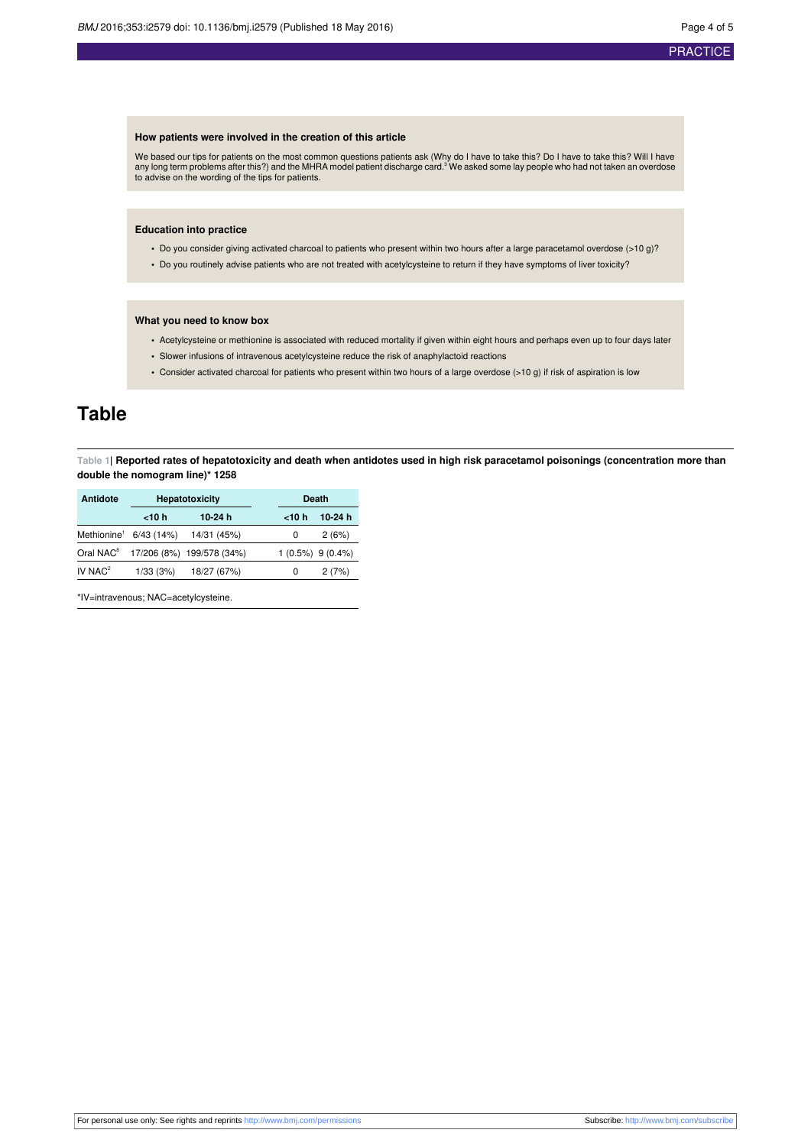## **PRACTICE**

#### **How patients were involved in the creation of this article**

We based our tips for patients on the most common questions patients ask (Why do I have to take this? Do I have to take this? Will I have<br>any long term problems after this?) and the MHRA model patient discharge card.<sup>3</sup> We to advise on the wording of the tips for patients.

#### **Education into practice**

- **•** Do you consider giving activated charcoal to patients who present within two hours after a large paracetamol overdose (>10 g)?
- **•** Do you routinely advise patients who are not treated with acetylcysteine to return if they have symptoms of liver toxicity?

#### **What you need to know box**

- **•** Acetylcysteine or methionine is associated with reduced mortality if given within eight hours and perhaps even up to four days later
- **•** Slower infusions of intravenous acetylcysteine reduce the risk of anaphylactoid reactions
- **•** Consider activated charcoal for patients who present within two hours of a large overdose (>10 g) if risk of aspiration is low

# <span id="page-3-0"></span>**Table**

Table 1| Reported rates of hepatotoxicity and death when antidotes used in high risk paracetamol poisonings (concentration more than **double the nomogram line)\* 1258**

| <b>Antidote</b>         | <b>Hepatotoxicity</b> |                           | <b>Death</b> |                        |
|-------------------------|-----------------------|---------------------------|--------------|------------------------|
|                         | $<$ 10 $h$            | 10-24 $h$                 | $<$ 10 $h$   | 10-24 $h$              |
| Methionine <sup>1</sup> | $6/43$ (14%)          | 14/31 (45%)               | 0            | 2(6%)                  |
| Oral NAC <sup>8</sup>   |                       | 17/206 (8%) 199/578 (34%) |              | $1(0.5\%)$ 9 $(0.4\%)$ |
| IV $NAC^2$              | 1/33(3%)              | 18/27 (67%)               | 0            | 2(7%)                  |

\*IV=intravenous; NAC=acetylcysteine.